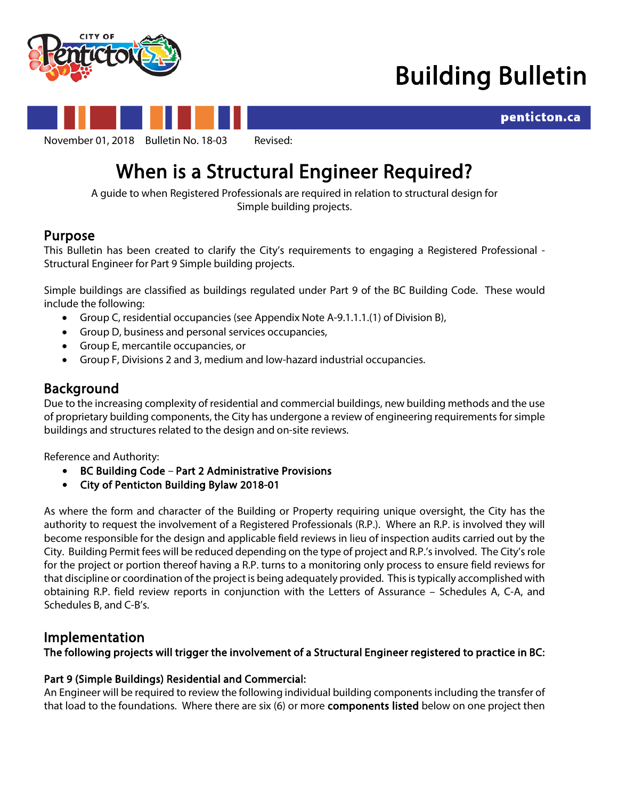

# Building Bulletin



# When is a Structural Engineer Required?<br>A guide to when Registered Professionals are required in relation to structural design for

Simple building projects.

**Purpose**<br>This Bulletin has been created to clarify the City's requirements to engaging a Registered Professional -Structural Engineer for Part 9 Simple building projects.

Simple buildings are classified as buildings regulated under Part 9 of the BC Building Code. These would include the following:

- Group C, residential occupancies (see Appendix Note A-9.1.1.1.(1) of Division B),
- Group D, business and personal services occupancies,
- Group E, mercantile occupancies, or
- Group F, Divisions 2 and 3, medium and low-hazard industrial occupancies.

**Background**<br>Due to the increasing complexity of residential and commercial buildings, new building methods and the use of proprietary building components, the City has undergone a review of engineering requirements for simple buildings and structures related to the design and on-site reviews.

Reference and Authority:

- BC Building Code Part 2 Administrative Provisions
- City of Penticton Building Bylaw 2018-01

As where the form and character of the Building or Property requiring unique oversight, the City has the authority to request the involvement of a Registered Professionals (R.P.). Where an R.P. is involved they will become responsible for the design and applicable field reviews in lieu of inspection audits carried out by the City. Building Permit fees will be reduced depending on the type of project and R.P.'s involved. The City's role for the project or portion thereof having a R.P. turns to a monitoring only process to ensure field reviews for that discipline or coordination of the project is being adequately provided. This is typically accomplished with obtaining R.P. field review reports in conjunction with the Letters of Assurance – Schedules A, C-A, and Schedules B, and C-B's.

Implementation<br>The following projects will trigger the involvement of a Structural Engineer registered to practice in BC:

# Part 9 (Simple Buildings) Residential and Commercial:

An Engineer will be required to review the following individual building components including the transfer of that load to the foundations. Where there are six (6) or more components listed below on one project then

penticton.ca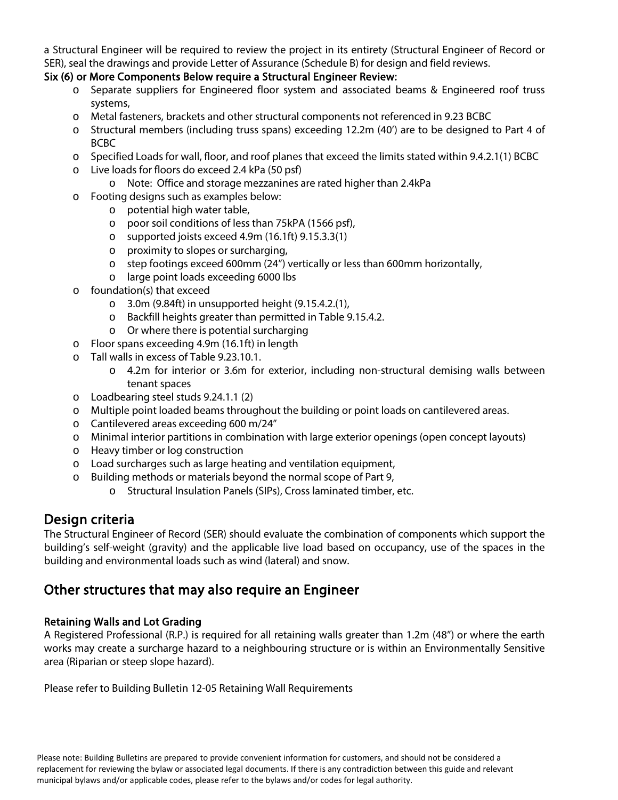a Structural Engineer will be required to review the project in its entirety (Structural Engineer of Record or SER), seal the drawings and provide Letter of Assurance (Schedule B) for design and field reviews.

# Six (6) or More Components Below require a Structural Engineer Review:

- o Separate suppliers for Engineered floor system and associated beams & Engineered roof truss systems,
- o Metal fasteners, brackets and other structural components not referenced in 9.23 BCBC
- o Structural members (including truss spans) exceeding 12.2m (40') are to be designed to Part 4 of BCBC
- o Specified Loads for wall, floor, and roof planes that exceed the limits stated within 9.4.2.1(1) BCBC
- o Live loads for floors do exceed 2.4 kPa (50 psf)
	- o Note: Office and storage mezzanines are rated higher than 2.4kPa
- o Footing designs such as examples below:
	- o potential high water table,
		- o poor soil conditions of less than 75kPA (1566 psf),
		- o supported joists exceed 4.9m (16.1ft) 9.15.3.3(1)
		- o proximity to slopes or surcharging,
		- o step footings exceed 600mm (24") vertically or less than 600mm horizontally,
		- o large point loads exceeding 6000 lbs
- o foundation(s) that exceed
	- $\circ$  3.0m (9.84ft) in unsupported height (9.15.4.2.(1),
	- o Backfill heights greater than permitted in Table 9.15.4.2.
	- o Or where there is potential surcharging
- o Floor spans exceeding 4.9m (16.1ft) in length
- o Tall walls in excess of Table 9.23.10.1.
	- o 4.2m for interior or 3.6m for exterior, including non-structural demising walls between tenant spaces
- o Loadbearing steel studs 9.24.1.1 (2)
- o Multiple point loaded beams throughout the building or point loads on cantilevered areas.
- o Cantilevered areas exceeding 600 m/24"
- o Minimal interior partitions in combination with large exterior openings (open concept layouts)
- o Heavy timber or log construction
- o Load surcharges such as large heating and ventilation equipment,
- o Building methods or materials beyond the normal scope of Part 9,
	- o Structural Insulation Panels (SIPs), Cross laminated timber, etc.

**Design criteria**<br>The Structural Engineer of Record (SER) should evaluate the combination of components which support the building's self-weight (gravity) and the applicable live load based on occupancy, use of the spaces in the building and environmental loads such as wind (lateral) and snow.

# Other structures that may also require an Engineer

# Retaining Walls and Lot Grading

A Registered Professional (R.P.) is required for all retaining walls greater than 1.2m (48") or where the earth works may create a surcharge hazard to a neighbouring structure or is within an Environmentally Sensitive area (Riparian or steep slope hazard).

Please refer to Building Bulletin 12-05 Retaining Wall Requirements